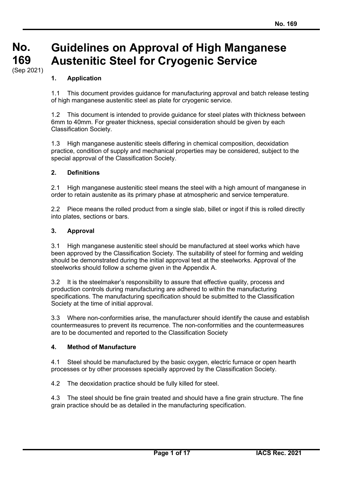#### **No. No. 169 169** (Sep 2021) **Guidelines on Approval of High Manganese Austenitic Steel for Cryogenic Service**

## **1. Application**

1.1 This document provides guidance for manufacturing approval and batch release testing of high manganese austenitic steel as plate for cryogenic service.

1.2 This document is intended to provide guidance for steel plates with thickness between 6mm to 40mm. For greater thickness, special consideration should be given by each Classification Society.

1.3 High manganese austenitic steels differing in chemical composition, deoxidation practice, condition of supply and mechanical properties may be considered, subject to the special approval of the Classification Society.

#### **2. Definitions**

2.1 High manganese austenitic steel means the steel with a high amount of manganese in order to retain austenite as its primary phase at atmospheric and service temperature.

2.2 Piece means the rolled product from a single slab, billet or ingot if this is rolled directly into plates, sections or bars.

#### **3. Approval**

3.1 High manganese austenitic steel should be manufactured at steel works which have been approved by the Classification Society. The suitability of steel for forming and welding should be demonstrated during the initial approval test at the steelworks. Approval of the steelworks should follow a scheme given in the Appendix A.

3.2 It is the steelmaker's responsibility to assure that effective quality, process and production controls during manufacturing are adhered to within the manufacturing specifications. The manufacturing specification should be submitted to the Classification Society at the time of initial approval.

3.3 Where non-conformities arise, the manufacturer should identify the cause and establish countermeasures to prevent its recurrence. The non-conformities and the countermeasures are to be documented and reported to the Classification Society

#### **4. Method of Manufacture**

4.1 Steel should be manufactured by the basic oxygen, electric furnace or open hearth processes or by other processes specially approved by the Classification Society.

4.2 The deoxidation practice should be fully killed for steel.

4.3 The steel should be fine grain treated and should have a fine grain structure. The fine grain practice should be as detailed in the manufacturing specification.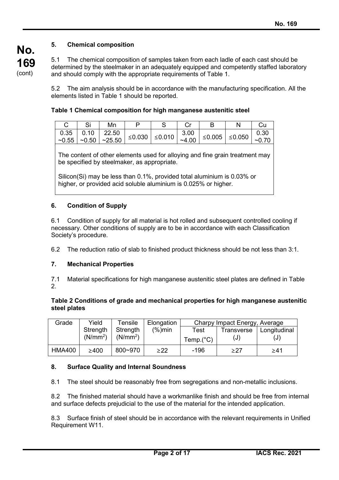# **5. Chemical composition**

5.1 The chemical composition of samples taken from each ladle of each cast should be determined by the steelmaker in an adequately equipped and competently staffed laboratory and should comply with the appropriate requirements of Table 1.

5.2 The aim analysis should be in accordance with the manufacturing specification. All the elements listed in Table 1 should be reported.

|  | Mn |  |  |                |
|--|----|--|--|----------------|
|  |    |  |  | 0.30<br>~10.70 |

The content of other elements used for alloying and fine grain treatment may be specified by steelmaker, as appropriate.

Silicon(Si) may be less than 0.1%, provided total aluminium is 0.03% or higher, or provided acid soluble aluminium is 0.025% or higher.

## **6. Condition of Supply**

6.1 Condition of supply for all material is hot rolled and subsequent controlled cooling if necessary. Other conditions of supply are to be in accordance with each Classification Society's procedure.

6.2 The reduction ratio of slab to finished product thickness should be not less than 3:1.

#### **7. Mechanical Properties**

7.1 Material specifications for high manganese austenitic steel plates are defined in Table 2.

#### **Table 2 Conditions of grade and mechanical properties for high manganese austenitic steel plates**

| Grade         | Yield                | Tensile              | Elongation  | Charpy Impact Energy, Average |     |                           |
|---------------|----------------------|----------------------|-------------|-------------------------------|-----|---------------------------|
|               | Strength             | Strength             | $(\% )$ min | Test                          |     | Transverse   Longitudinal |
|               | (N/mm <sup>2</sup> ) | (N/mm <sup>2</sup> ) |             | Temp.(°C)                     | (J) | (J)                       |
| <b>HMA400</b> | $\geq 400$           | 800~970              | >22         | -196                          | >27 | >41                       |

#### **8. Surface Quality and Internal Soundness**

8.1 The steel should be reasonably free from segregations and non-metallic inclusions.

8.2 The finished material should have a workmanlike finish and should be free from internal and surface defects prejudicial to the use of the material for the intended application.

8.3 Surface finish of steel should be in accordance with the relevant requirements in Unified Requirement W11.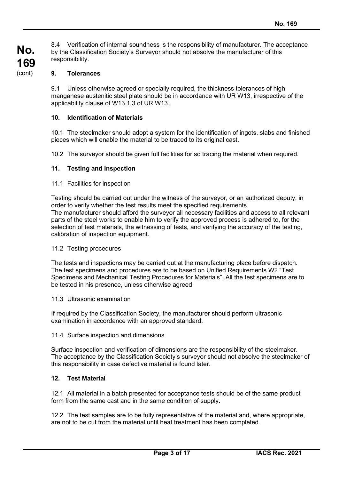8.4 Verification of internal soundness is the responsibility of manufacturer. The acceptance by the Classification Society's Surveyor should not absolve the manufacturer of this responsibility.

# **9. Tolerances**

9.1 Unless otherwise agreed or specially required, the thickness tolerances of high manganese austenitic steel plate should be in accordance with UR W13, irrespective of the applicability clause of W13.1.3 of UR W13.

## **10. Identification of Materials**

10.1 The steelmaker should adopt a system for the identification of ingots, slabs and finished pieces which will enable the material to be traced to its original cast.

10.2 The surveyor should be given full facilities for so tracing the material when required.

## **11. Testing and Inspection**

11.1 Facilities for inspection

Testing should be carried out under the witness of the surveyor, or an authorized deputy, in order to verify whether the test results meet the specified requirements. The manufacturer should afford the surveyor all necessary facilities and access to all relevant parts of the steel works to enable him to verify the approved process is adhered to, for the selection of test materials, the witnessing of tests, and verifying the accuracy of the testing, calibration of inspection equipment.

#### 11.2 Testing procedures

The tests and inspections may be carried out at the manufacturing place before dispatch. The test specimens and procedures are to be based on Unified Requirements W2 "Test Specimens and Mechanical Testing Procedures for Materials". All the test specimens are to be tested in his presence, unless otherwise agreed.

#### 11.3 Ultrasonic examination

If required by the Classification Society, the manufacturer should perform ultrasonic examination in accordance with an approved standard.

#### 11.4 Surface inspection and dimensions

Surface inspection and verification of dimensions are the responsibility of the steelmaker. The acceptance by the Classification Society's surveyor should not absolve the steelmaker of this responsibility in case defective material is found later.

## **12. Test Material**

12.1 All material in a batch presented for acceptance tests should be of the same product form from the same cast and in the same condition of supply.

12.2 The test samples are to be fully representative of the material and, where appropriate, are not to be cut from the material until heat treatment has been completed.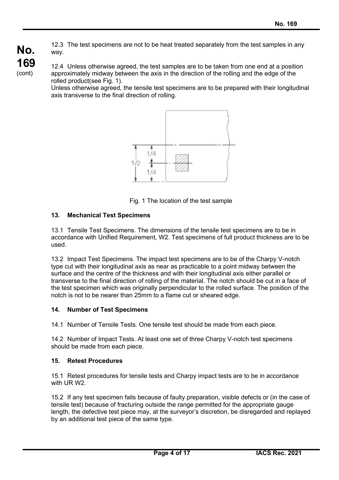12.3 The test specimens are not to be heat treated separately from the test samples in any way.

12.4 Unless otherwise agreed, the test samples are to be taken from one end at a position approximately midway between the axis in the direction of the rolling and the edge of the rolled product(see Fig. 1).

Unless otherwise agreed, the tensile test specimens are to be prepared with their longitudinal axis transverse to the final direction of rolling.



Fig. 1 The location of the test sample

## **13. Mechanical Test Specimens**

**No.**

**169** (cont)

> 13.1 Tensile Test Specimens. The dimensions of the tensile test specimens are to be in accordance with Unified Requirement, W2. Test specimens of full product thickness are to be used.

> 13.2 Impact Test Specimens. The impact test specimens are to be of the Charpy V-notch type cut with their longitudinal axis as near as practicable to a point midway between the surface and the centre of the thickness and with their longitudinal axis either parallel or transverse to the final direction of rolling of the material. The notch should be cut in a face of the test specimen which was originally perpendicular to the rolled surface. The position of the notch is not to be nearer than 25mm to a flame cut or sheared edge.

#### **14. Number of Test Specimens**

14.1 Number of Tensile Tests. One tensile test should be made from each piece.

14.2 Number of Impact Tests. At least one set of three Charpy V-notch test specimens should be made from each piece.

## **15. Retest Procedures**

15.1 Retest procedures for tensile tests and Charpy impact tests are to be in accordance with UR W2.

15.2 If any test specimen fails because of faulty preparation, visible defects or (in the case of tensile test) because of fracturing outside the range permitted for the appropriate gauge length, the defective test piece may, at the surveyor's discretion, be disregarded and replayed by an additional test piece of the same type.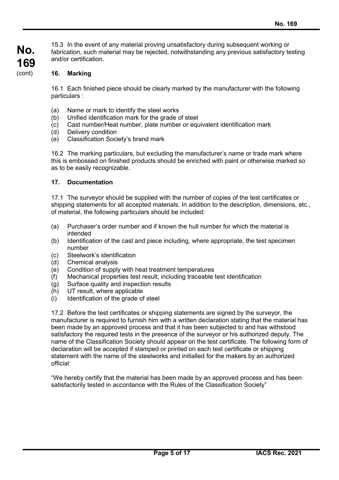15.3 In the event of any material proving unsatisfactory during subsequent working or fabrication, such material may be rejected, notwithstanding any previous satisfactory testing and/or certification.

## **16. Marking**

16.1 Each finished piece should be clearly marked by the manufacturer with the following particulars :

- (a) Name or mark to identify the steel works
- (b) Unified identification mark for the grade of steel
- (c) Cast number/Heat number, plate number or equivalent identification mark
- (d) Delivery condition
- (e) Classification Society's brand mark

16.2 The marking particulars, but excluding the manufacturer's name or trade mark where this is embossed on finished products should be enriched with paint or otherwise marked so as to be easily recognizable.

#### **17. Documentation**

17.1 The surveyor should be supplied with the number of copies of the test certificates or shipping statements for all accepted materials. In addition to the description, dimensions, etc., of material, the following particulars should be included:

- (a) Purchaser's order number and if known the hull number for which the material is intended
- (b) Identification of the cast and piece including, where appropriate, the test specimen number
- (c) Steelwork's identification
- (d) Chemical analysis
- (e) Condition of supply with heat treatment temperatures
- (f) Mechanical properties test result, including traceable test identification
- (g) Surface quality and inspection results
- (h) UT result, where applicable
- (i) Identification of the grade of steel

17.2 Before the test certificates or shipping statements are signed by the surveyor, the manufacturer is required to furnish him with a written declaration stating that the material has been made by an approved process and that it has been subjected to and has withstood satisfactory the required tests in the presence of the surveyor or his authorized deputy. The name of the Classification Society should appear on the test certificate. The following form of declaration will be accepted if stamped or printed on each test certificate or shipping statement with the name of the steelworks and initialled for the makers by an authorized official:

"We hereby certify that the material has been made by an approved process and has been satisfactorily tested in accordance with the Rules of the Classification Society"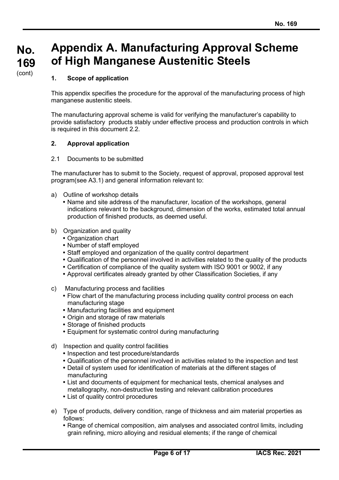# **Appendix A. Manufacturing Approval Scheme of High Manganese Austenitic Steels**

# **1. Scope of application**

This appendix specifies the procedure for the approval of the manufacturing process of high manganese austenitic steels.

The manufacturing approval scheme is valid for verifying the manufacturer's capability to provide satisfactory products stably under effective process and production controls in which is required in this document 2.2.

## **2. Approval application**

#### 2.1 Documents to be submitted

The manufacturer has to submit to the Society, request of approval, proposed approval test program(see A3.1) and general information relevant to:

- a) Outline of workshop details
	- Name and site address of the manufacturer, location of the workshops, general indications relevant to the background, dimension of the works, estimated total annual production of finished products, as deemed useful.
- b) Organization and quality
	- Organization chart
	- Number of staff employed
	- Staff employed and organization of the quality control department
	- Qualification of the personnel involved in activities related to the quality of the products
	- Certification of compliance of the quality system with ISO 9001 or 9002, if any
	- Approval certificates already granted by other Classification Societies, if any
- c) Manufacturing process and facilities
	- Flow chart of the manufacturing process including quality control process on each manufacturing stage
	- Manufacturing facilities and equipment
	- Origin and storage of raw materials
	- Storage of finished products
	- Equipment for systematic control during manufacturing
- d) Inspection and quality control facilities
	- Inspection and test procedure/standards
	- Qualification of the personnel involved in activities related to the inspection and test
	- Detail of system used for identification of materials at the different stages of manufacturing
	- List and documents of equipment for mechanical tests, chemical analyses and metallography, non-destructive testing and relevant calibration procedures
	- List of quality control procedures
- e) Type of products, delivery condition, range of thickness and aim material properties as follows:
	- Range of chemical composition, aim analyses and associated control limits, including grain refining, micro alloying and residual elements; if the range of chemical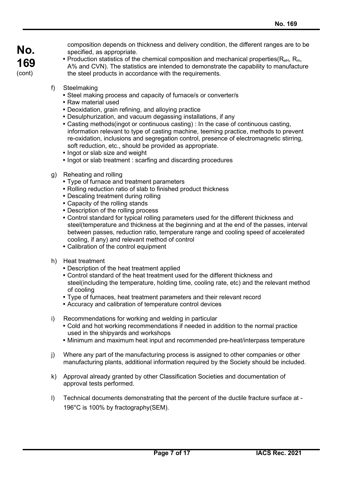composition depends on thickness and delivery condition, the different ranges are to be specified, as appropriate.

- Production statistics of the chemical composition and mechanical properties( $R_{\text{eH}}$ ,  $R_{\text{m}}$ , A% and CVN). The statistics are intended to demonstrate the capability to manufacture the steel products in accordance with the requirements.
- f) Steelmaking
	- Steel making process and capacity of furnace/s or converter/s
	- Raw material used
	- Deoxidation, grain refining, and alloying practice
	- Desulphurization, and vacuum degassing installations, if any
	- Casting methods(ingot or continuous casting) : In the case of continuous casting, information relevant to type of casting machine, teeming practice, methods to prevent re-oxidation, inclusions and segregation control, presence of electromagnetic stirring, soft reduction, etc., should be provided as appropriate.
	- Ingot or slab size and weight
	- Ingot or slab treatment : scarfing and discarding procedures
- g) Reheating and rolling
	- Type of furnace and treatment parameters
	- Rolling reduction ratio of slab to finished product thickness
	- Descaling treatment during rolling
	- Capacity of the rolling stands
	- Description of the rolling process
	- Control standard for typical rolling parameters used for the different thickness and steel(temperature and thickness at the beginning and at the end of the passes, interval between passes, reduction ratio, temperature range and cooling speed of accelerated cooling, if any) and relevant method of control
	- Calibration of the control equipment
- h) Heat treatment
	- Description of the heat treatment applied
	- Control standard of the heat treatment used for the different thickness and steel(including the temperature, holding time, cooling rate, etc) and the relevant method of cooling
	- Type of furnaces, heat treatment parameters and their relevant record
	- Accuracy and calibration of temperature control devices
- i) Recommendations for working and welding in particular
	- Cold and hot working recommendations if needed in addition to the normal practice used in the shipyards and workshops
	- Minimum and maximum heat input and recommended pre-heat/interpass temperature
- j) Where any part of the manufacturing process is assigned to other companies or other manufacturing plants, additional information required by the Society should be included.
- k) Approval already granted by other Classification Societies and documentation of approval tests performed.
- l) Technical documents demonstrating that the percent of the ductile fracture surface at 196°C is 100% by fractography(SEM).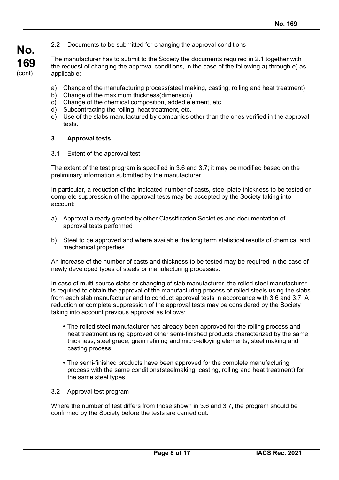2.2 Documents to be submitted for changing the approval conditions

The manufacturer has to submit to the Society the documents required in 2.1 together with the request of changing the approval conditions, in the case of the following a) through e) as applicable:

- a) Change of the manufacturing process(steel making, casting, rolling and heat treatment)
- b) Change of the maximum thickness(dimension)
- c) Change of the chemical composition, added element, etc.
- d) Subcontracting the rolling, heat treatment, etc.
- e) Use of the slabs manufactured by companies other than the ones verified in the approval tests.

#### **3. Approval tests**

**No.**

**169** (cont)

3.1 Extent of the approval test

The extent of the test program is specified in 3.6 and 3.7; it may be modified based on the preliminary information submitted by the manufacturer.

In particular, a reduction of the indicated number of casts, steel plate thickness to be tested or complete suppression of the approval tests may be accepted by the Society taking into account:

- a) Approval already granted by other Classification Societies and documentation of approval tests performed
- b) Steel to be approved and where available the long term statistical results of chemical and mechanical properties

An increase of the number of casts and thickness to be tested may be required in the case of newly developed types of steels or manufacturing processes.

In case of multi-source slabs or changing of slab manufacturer, the rolled steel manufacturer is required to obtain the approval of the manufacturing process of rolled steels using the slabs from each slab manufacturer and to conduct approval tests in accordance with 3.6 and 3.7. A reduction or complete suppression of the approval tests may be considered by the Society taking into account previous approval as follows:

- The rolled steel manufacturer has already been approved for the rolling process and heat treatment using approved other semi-finished products characterized by the same thickness, steel grade, grain refining and micro-alloying elements, steel making and casting process;
- The semi-finished products have been approved for the complete manufacturing process with the same conditions(steelmaking, casting, rolling and heat treatment) for the same steel types.
- 3.2 Approval test program

Where the number of test differs from those shown in 3.6 and 3.7, the program should be confirmed by the Society before the tests are carried out.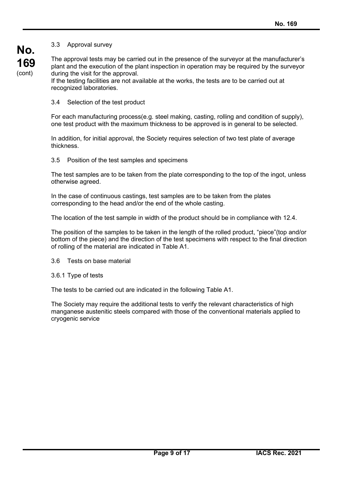## 3.3 Approval survey

The approval tests may be carried out in the presence of the surveyor at the manufacturer's plant and the execution of the plant inspection in operation may be required by the surveyor during the visit for the approval.

If the testing facilities are not available at the works, the tests are to be carried out at recognized laboratories.

3.4 Selection of the test product

For each manufacturing process(e.g. steel making, casting, rolling and condition of supply), one test product with the maximum thickness to be approved is in general to be selected.

In addition, for initial approval, the Society requires selection of two test plate of average thickness.

3.5 Position of the test samples and specimens

The test samples are to be taken from the plate corresponding to the top of the ingot, unless otherwise agreed.

In the case of continuous castings, test samples are to be taken from the plates corresponding to the head and/or the end of the whole casting.

The location of the test sample in width of the product should be in compliance with 12.4.

The position of the samples to be taken in the length of the rolled product, "piece"(top and/or bottom of the piece) and the direction of the test specimens with respect to the final direction of rolling of the material are indicated in Table A1.

3.6 Tests on base material

3.6.1 Type of tests

The tests to be carried out are indicated in the following Table A1.

The Society may require the additional tests to verify the relevant characteristics of high manganese austenitic steels compared with those of the conventional materials applied to cryogenic service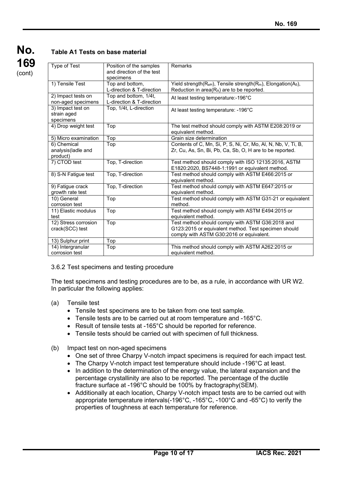| No.    |
|--------|
| 169    |
| (cont) |

# **Table A1 Tests on base material**

| Type of Test                                                    | Position of the samples<br>and direction of the test<br>specimens | Remarks                                                                                                                                              |  |  |
|-----------------------------------------------------------------|-------------------------------------------------------------------|------------------------------------------------------------------------------------------------------------------------------------------------------|--|--|
| 1) Tensile Test<br>Top and bottom,<br>L-direction & T-direction |                                                                   | Yield strength(R <sub>eH</sub> ), Tensile strength(R <sub>m</sub> ), Elongation(A <sub>5</sub> ),<br>Reduction in area(RA) are to be reported.       |  |  |
| 2) Impact tests on<br>non-aged specimens                        | Top and bottom, 1/4t,<br>L-direction & T-direction                | At least testing temperature:-196°C                                                                                                                  |  |  |
| 3) Impact test on<br>strain aged<br>specimens                   | Top, 1/4t, L-direction                                            | At least testing temperature: -196°C                                                                                                                 |  |  |
| 4) Drop weight test                                             | Top                                                               | The test method should comply with ASTM E208:2019 or<br>equivalent method.                                                                           |  |  |
| 5) Micro examination                                            | Top                                                               | Grain size determination                                                                                                                             |  |  |
| 6) Chemical<br>analysis(ladle and<br>product)                   | Top                                                               | Contents of C, Mn, Si, P, S, Ni, Cr, Mo, Al, N, Nb, V, Ti, B,<br>Zr, Cu, As, Sn, Bi, Pb, Ca, Sb, O, H are to be reported.                            |  |  |
| 7) CTOD test                                                    | Top, T-direction                                                  | Test method should comply with ISO 12135:2016, ASTM<br>E1820:2020, BS7448-1:1991 or equivalent method.                                               |  |  |
| 8) S-N Fatigue test                                             | Top, T-direction                                                  | Test method should comply with ASTM E466:2015 or<br>equivalent method.                                                                               |  |  |
| 9) Fatigue crack<br>growth rate test                            | Top, T-direction                                                  | Test method should comply with ASTM E647:2015 or<br>equivalent method.                                                                               |  |  |
| 10) General<br>corrosion test                                   | Top                                                               | Test method should comply with ASTM G31-21 or equivalent<br>method.                                                                                  |  |  |
| 11) Elastic modulus<br>test                                     | Top                                                               | Test method should comply with ASTM E494:2015 or<br>equivalent method.                                                                               |  |  |
| 12) Stress corrosion<br>crack(SCC) test                         | Top                                                               | Test method should comply with ASTM G36:2018 and<br>G123:2015 or equivalent method. Test specimen should<br>comply with ASTM G30:2016 or equivalent. |  |  |
| 13) Sulphur print                                               | Top                                                               |                                                                                                                                                      |  |  |
| 14) Intergranular<br>corrosion test                             | Top                                                               | This method should comply with ASTM A262:2015 or<br>equivalent method.                                                                               |  |  |

## 3.6.2 Test specimens and testing procedure

The test specimens and testing procedures are to be, as a rule, in accordance with UR W2. In particular the following applies:

- (a) Tensile test
	- Tensile test specimens are to be taken from one test sample.
	- Tensile tests are to be carried out at room temperature and -165°C.
	- Result of tensile tests at -165°C should be reported for reference.
	- Tensile tests should be carried out with specimen of full thickness.
- (b) Impact test on non-aged specimens
	- One set of three Charpy V-notch impact specimens is required for each impact test.
	- The Charpy V-notch impact test temperature should include -196°C at least.
	- In addition to the determination of the energy value, the lateral expansion and the percentage crystallinity are also to be reported. The percentage of the ductile fracture surface at -196°C should be 100% by fractography(SEM).
	- Additionally at each location, Charpy V-notch impact tests are to be carried out with appropriate temperature intervals(-196°C, -165°C, -100°C and -65°C) to verify the properties of toughness at each temperature for reference.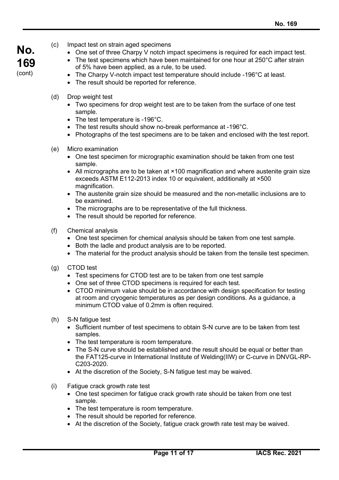- **No. 169** (cont)
- (c) Impact test on strain aged specimens
	- One set of three Charpy V notch impact specimens is required for each impact test.
	- The test specimens which have been maintained for one hour at 250°C after strain of 5% have been applied, as a rule, to be used.
	- The Charpy V-notch impact test temperature should include -196°C at least.
	- The result should be reported for reference.
- (d) Drop weight test
	- Two specimens for drop weight test are to be taken from the surface of one test sample.
	- The test temperature is -196°C.
	- The test results should show no-break performance at -196°C.
	- Photographs of the test specimens are to be taken and enclosed with the test report.
- (e) Micro examination
	- One test specimen for micrographic examination should be taken from one test sample.
	- All micrographs are to be taken at ×100 magnification and where austenite grain size exceeds ASTM E112-2013 index 10 or equivalent, additionally at ×500 magnification.
	- The austenite grain size should be measured and the non-metallic inclusions are to be examined.
	- The micrographs are to be representative of the full thickness.
	- The result should be reported for reference.
- (f) Chemical analysis
	- One test specimen for chemical analysis should be taken from one test sample.
	- Both the ladle and product analysis are to be reported.
	- The material for the product analysis should be taken from the tensile test specimen.
- (g) CTOD test
	- Test specimens for CTOD test are to be taken from one test sample
	- One set of three CTOD specimens is required for each test.
	- CTOD minimum value should be in accordance with design specification for testing at room and cryogenic temperatures as per design conditions. As a guidance, a minimum CTOD value of 0.2mm is often required.
- (h) S-N fatigue test
	- Sufficient number of test specimens to obtain S-N curve are to be taken from test samples.
	- The test temperature is room temperature.
	- The S-N curve should be established and the result should be equal or better than the FAT125-curve in International Institute of Welding(IIW) or C-curve in DNVGL-RP-C203-2020.
	- At the discretion of the Society, S-N fatigue test may be waived.
- (i) Fatigue crack growth rate test
	- One test specimen for fatigue crack growth rate should be taken from one test sample.
	- The test temperature is room temperature.
	- The result should be reported for reference.
	- At the discretion of the Society, fatigue crack growth rate test may be waived.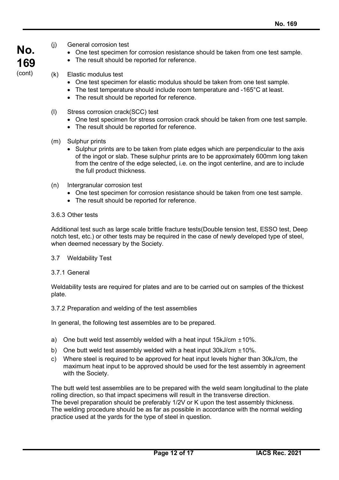- **No. 169** (cont)
- (j) General corrosion test
	- One test specimen for corrosion resistance should be taken from one test sample.
	- The result should be reported for reference.
- (k) Elastic modulus test
	- One test specimen for elastic modulus should be taken from one test sample.
	- The test temperature should include room temperature and -165°C at least.
	- The result should be reported for reference.
- (l) Stress corrosion crack(SCC) test
	- One test specimen for stress corrosion crack should be taken from one test sample.
	- The result should be reported for reference.
- (m) Sulphur prints
	- Sulphur prints are to be taken from plate edges which are perpendicular to the axis of the ingot or slab. These sulphur prints are to be approximately 600mm long taken from the centre of the edge selected, i.e. on the ingot centerline, and are to include the full product thickness.
- (n) Intergranular corrosion test
	- One test specimen for corrosion resistance should be taken from one test sample.
	- The result should be reported for reference.

## 3.6.3 Other tests

Additional test such as large scale brittle fracture tests(Double tension test, ESSO test, Deep notch test, etc.) or other tests may be required in the case of newly developed type of steel, when deemed necessary by the Society.

- 3.7 Weldability Test
- 3.7.1 General

Weldability tests are required for plates and are to be carried out on samples of the thickest plate.

3.7.2 Preparation and welding of the test assemblies

In general, the following test assembles are to be prepared.

- a) One butt weld test assembly welded with a heat input  $15kJ/cm \pm 10\%$ .
- b) One butt weld test assembly welded with a heat input  $30kJ/cm \pm 10\%$ .
- c) Where steel is required to be approved for heat input levels higher than 30kJ/cm, the maximum heat input to be approved should be used for the test assembly in agreement with the Society.

The butt weld test assemblies are to be prepared with the weld seam longitudinal to the plate rolling direction, so that impact specimens will result in the transverse direction. The bevel preparation should be preferably 1/2V or K upon the test assembly thickness. The welding procedure should be as far as possible in accordance with the normal welding practice used at the yards for the type of steel in question.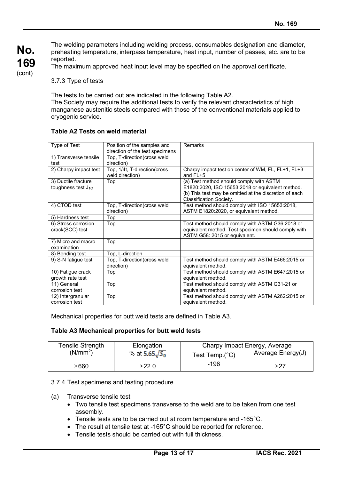The welding parameters including welding process, consumables designation and diameter, preheating temperature, interpass temperature, heat input, number of passes, etc. are to be reported.

The maximum approved heat input level may be specified on the approval certificate.

3.7.3 Type of tests

The tests to be carried out are indicated in the following Table A2.

The Society may require the additional tests to verify the relevant characteristics of high manganese austenitic steels compared with those of the conventional materials applied to cryogenic service.

| Type of Test                                   | Position of the samples and<br>direction of the test specimens | Remarks                                                                                                                                                                          |
|------------------------------------------------|----------------------------------------------------------------|----------------------------------------------------------------------------------------------------------------------------------------------------------------------------------|
| 1) Transverse tensile<br>test                  | Top, T-direction(cross weld<br>direction)                      |                                                                                                                                                                                  |
| 2) Charpy impact test                          | Top, 1/4t, T-direction(cross<br>weld direction)                | Charpy impact test on center of WM, FL, FL+1, FL+3<br>and $FL+5$                                                                                                                 |
| 3) Ductile fracture<br>toughness test $J_{1C}$ | Top                                                            | (a) Test method should comply with ASTM<br>E1820:2020, ISO 15653:2018 or equivalent method.<br>(b) This test may be omitted at the discretion of each<br>Classification Society. |
| 4) CTOD test                                   | Top, T-direction(cross weld<br>direction)                      | Test method should comply with ISO 15653:2018,<br>ASTM E1820:2020, or equivalent method.                                                                                         |
| 5) Hardness test                               | Top                                                            |                                                                                                                                                                                  |
| 6) Stress corrosion<br>crack(SCC) test         | Top                                                            | Test method should comply with ASTM G36:2018 or<br>equivalent method. Test specimen should comply with<br>ASTM G58: 2015 or equivalent.                                          |
| 7) Micro and macro<br>examination              | Top                                                            |                                                                                                                                                                                  |
| 8) Bending test                                | Top, L-direction                                               |                                                                                                                                                                                  |
| 9) S-N fatigue test                            | Top, T-direction(cross weld<br>direction)                      | Test method should comply with ASTM E466:2015 or<br>equivalent method.                                                                                                           |
| 10) Fatigue crack<br>growth rate test          | Top                                                            | Test method should comply with ASTM E647:2015 or<br>equivalent method.                                                                                                           |
| 11) General<br>corrosion test                  | Top                                                            | Test method should comply with ASTM G31-21 or<br>equivalent method.                                                                                                              |
| 12) Intergranular<br>corrosion test            | Top                                                            | Test method should comply with ASTM A262:2015 or<br>equivalent method.                                                                                                           |

## **Table A2 Tests on weld material**

Mechanical properties for butt weld tests are defined in Table A3.

#### **Table A3 Mechanical properties for butt weld tests**

| <b>Tensile Strength</b> | Elongation            | Charpy Impact Energy, Average |                   |  |
|-------------------------|-----------------------|-------------------------------|-------------------|--|
| (N/mm <sup>2</sup> )    | % at $5.65\sqrt{S_0}$ | Test Temp. $(^{\circ}C)$      | Average Energy(J) |  |
| ≥660                    | ≥22.0                 | -196                          | ≥27               |  |

#### 3.7.4 Test specimens and testing procedure

- (a) Transverse tensile test
	- Two tensile test specimens transverse to the weld are to be taken from one test assembly.
	- Tensile tests are to be carried out at room temperature and -165°C.
	- The result at tensile test at -165°C should be reported for reference.
	- Tensile tests should be carried out with full thickness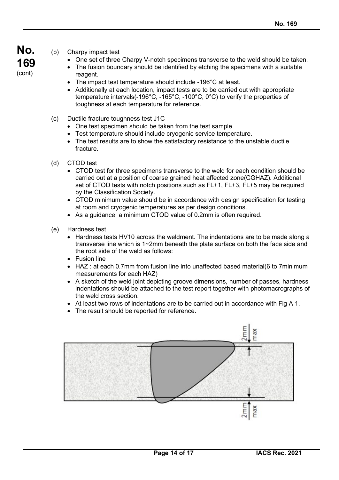- **No. 169** (cont)
- (b) Charpy impact test
	- One set of three Charpy V-notch specimens transverse to the weld should be taken.
	- The fusion boundary should be identified by etching the specimens with a suitable reagent.
	- The impact test temperature should include -196°C at least.
	- Additionally at each location, impact tests are to be carried out with appropriate temperature intervals(-196°C, -165°C, -100°C, 0°C) to verify the properties of toughness at each temperature for reference.
- (c) Ductile fracture toughness test J1C
	- One test specimen should be taken from the test sample.
	- Test temperature should include cryogenic service temperature.
	- The test results are to show the satisfactory resistance to the unstable ductile fracture.
- (d) CTOD test
	- CTOD test for three specimens transverse to the weld for each condition should be carried out at a position of coarse grained heat affected zone(CGHAZ). Additional set of CTOD tests with notch positions such as FL+1, FL+3, FL+5 may be required by the Classification Society.
	- CTOD minimum value should be in accordance with design specification for testing at room and cryogenic temperatures as per design conditions.
	- As a guidance, a minimum CTOD value of 0.2mm is often required.
- (e) Hardness test
	- Hardness tests HV10 across the weldment. The indentations are to be made along a transverse line which is 1~2mm beneath the plate surface on both the face side and the root side of the weld as follows:
	- Fusion line
	- HAZ : at each 0.7mm from fusion line into unaffected based material(6 to 7minimum measurements for each HAZ)
	- A sketch of the weld joint depicting groove dimensions, number of passes, hardness indentations should be attached to the test report together with photomacrographs of the weld cross section.
	- At least two rows of indentations are to be carried out in accordance with Fig A 1.
	- The result should be reported for reference.

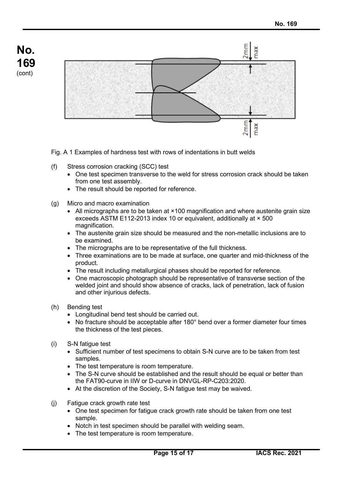

Fig. A 1 Examples of hardness test with rows of indentations in butt welds

- (f) Stress corrosion cracking (SCC) test
	- One test specimen transverse to the weld for stress corrosion crack should be taken from one test assembly.
	- The result should be reported for reference.
- (g) Micro and macro examination
	- All micrographs are to be taken at  $\times$ 100 magnification and where austenite grain size exceeds ASTM E112-2013 index 10 or equivalent, additionally at × 500 magnification.
	- The austenite grain size should be measured and the non-metallic inclusions are to be examined.
	- The micrographs are to be representative of the full thickness.
	- Three examinations are to be made at surface, one quarter and mid-thickness of the product.
	- The result including metallurgical phases should be reported for reference.
	- One macroscopic photograph should be representative of transverse section of the welded joint and should show absence of cracks, lack of penetration, lack of fusion and other injurious defects.
- (h) Bending test

**No.**

**169** (cont)

- Longitudinal bend test should be carried out.
- No fracture should be acceptable after 180° bend over a former diameter four times the thickness of the test pieces.
- (i) S-N fatigue test
	- Sufficient number of test specimens to obtain S-N curve are to be taken from test samples.
	- The test temperature is room temperature.
	- The S-N curve should be established and the result should be equal or better than the FAT90-curve in IIW or D-curve in DNVGL-RP-C203:2020.
	- At the discretion of the Society, S-N fatigue test may be waived.
- (j) Fatigue crack growth rate test
	- One test specimen for fatigue crack growth rate should be taken from one test sample.
	- Notch in test specimen should be parallel with welding seam.
	- The test temperature is room temperature.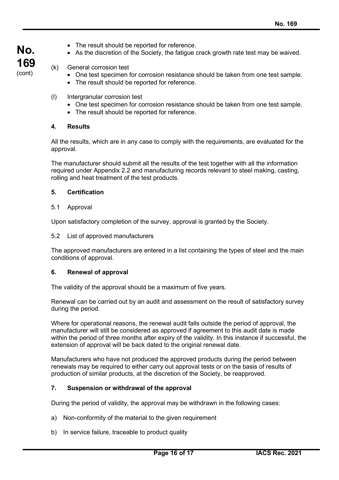- **No. 169** (cont)
- The result should be reported for reference.
- As the discretion of the Society, the fatigue crack growth rate test may be waived.

# (k) General corrosion test

- One test specimen for corrosion resistance should be taken from one test sample.
- The result should be reported for reference.
- (l) Intergranular corrosion test
	- One test specimen for corrosion resistance should be taken from one test sample.
	- The result should be reported for reference.

## **4. Results**

All the results, which are in any case to comply with the requirements, are evaluated for the approval.

The manufacturer should submit all the results of the test together with all the information required under Appendix 2.2 and manufacturing records relevant to steel making, casting, rolling and heat treatment of the test products.

## **5. Certification**

#### 5.1 Approval

Upon satisfactory completion of the survey, approval is granted by the Society.

5.2 List of approved manufacturers

The approved manufacturers are entered in a list containing the types of steel and the main conditions of approval.

#### **6. Renewal of approval**

The validity of the approval should be a maximum of five years.

Renewal can be carried out by an audit and assessment on the result of satisfactory survey during the period.

Where for operational reasons, the renewal audit falls outside the period of approval, the manufacturer will still be considered as approved if agreement to this audit date is made within the period of three months after expiry of the validity. In this instance if successful, the extension of approval will be back dated to the original renewal date.

Manufacturers who have not produced the approved products during the period between renewals may be required to either carry out approval tests or on the basis of results of production of similar products, at the discretion of the Society, be reapproved.

#### **7. Suspension or withdrawal of the approval**

During the period of validity, the approval may be withdrawn in the following cases:

- a) Non-conformity of the material to the given requirement
- b) In service failure, traceable to product quality